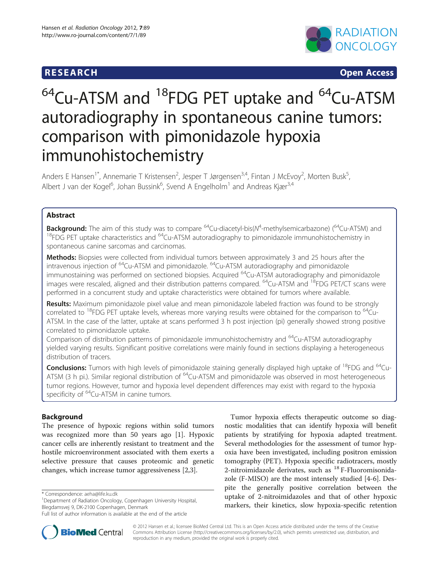# **RESEARCH CHINESE ARCH CHINESE ARCH CHINESE ARCH**



# $64$ Cu-ATSM and  $18$ FDG PET uptake and  $64$ Cu-ATSM autoradiography in spontaneous canine tumors: comparison with pimonidazole hypoxia immunohistochemistry

Anders E Hansen<sup>1\*</sup>, Annemarie T Kristensen<sup>2</sup>, Jesper T Jørgensen<sup>3,4</sup>, Fintan J McEvoy<sup>2</sup>, Morten Busk<sup>5</sup> , Albert J van der Kogel<sup>6</sup>, Johan Bussink<sup>6</sup>, Svend A Engelholm<sup>1</sup> and Andreas Kjær<sup>3,4</sup>

# Abstract

**Background:** The aim of this study was to compare <sup>64</sup>Cu-diacetyl-bis(N<sup>4</sup>-methylsemicarbazone) (<sup>64</sup>Cu-ATSM) and<br><sup>18</sup>FDG PET uptake characteristics and <sup>64</sup>Cu-ATSM autoradiography to pimonidazole immunohistochemistry in spontaneous canine sarcomas and carcinomas.

Methods: Biopsies were collected from individual tumors between approximately 3 and 25 hours after the intravenous injection of <sup>64</sup>Cu-ATSM and pimonidazole. <sup>64</sup>Cu-ATSM autoradiography and pimonidazole immunostaining was performed on sectioned biopsies. Acquired 64Cu-ATSM autoradiography and pimonidazole images were rescaled, aligned and their distribution patterns compared.  $^{64}$ Cu-ATSM and  $^{18}$ FDG PET/CT scans were performed in a concurrent study and uptake characteristics were obtained for tumors where available.

Results: Maximum pimonidazole pixel value and mean pimonidazole labeled fraction was found to be strongly correlated to  $^{18}$ FDG PET uptake levels, whereas more varying results were obtained for the comparison to  $^{64}$ Cu-ATSM. In the case of the latter, uptake at scans performed 3 h post injection (pi) generally showed strong positive correlated to pimonidazole uptake.

Comparison of distribution patterns of pimonidazole immunohistochemistry and <sup>64</sup>Cu-ATSM autoradiography yielded varying results. Significant positive correlations were mainly found in sections displaying a heterogeneous distribution of tracers.

Conclusions: Tumors with high levels of pimonidazole staining generally displayed high uptake of <sup>18</sup>FDG and <sup>64</sup>Cu-ATSM (3 h pi.). Similar regional distribution of <sup>64</sup>Cu-ATSM and pimonidazole was observed in most heterogeneous tumor regions. However, tumor and hypoxia level dependent differences may exist with regard to the hypoxia specificity of <sup>64</sup>Cu-ATSM in canine tumors.

# Background

The presence of hypoxic regions within solid tumors was recognized more than 50 years ago [[1\]](#page-6-0). Hypoxic cancer cells are inherently resistant to treatment and the hostile microenvironment associated with them exerts a selective pressure that causes proteomic and genetic changes, which increase tumor aggressiveness [[2,3\]](#page-6-0).

Tumor hypoxia effects therapeutic outcome so diagnostic modalities that can identify hypoxia will benefit patients by stratifying for hypoxia adapted treatment. Several methodologies for the assessment of tumor hypoxia have been investigated, including positron emission tomography (PET). Hypoxia specific radiotracers, mostly 2-nitroimidazole derivates, such as <sup>18</sup> F-Fluoromisonidazole (F-MISO) are the most intensely studied [[4-6](#page-6-0)]. Despite the generally positive correlation between the uptake of 2-nitroimidazoles and that of other hypoxic markers, their kinetics, slow hypoxia-specific retention



© 2012 Hansen et al.; licensee BioMed Central Ltd. This is an Open Access article distributed under the terms of the Creative Commons Attribution License [\(http://creativecommons.org/licenses/by/2.0\)](http://creativecommons.org/licenses/by/2.0), which permits unrestricted use, distribution, and reproduction in any medium, provided the original work is properly cited.

<sup>\*</sup> Correspondence: [aeha@life.ku.dk](mailto:aeha@life.ku.dk) <sup>1</sup>

<sup>&</sup>lt;sup>1</sup>Department of Radiation Oncology, Copenhagen University Hospital, Blegdamsvej 9, DK-2100 Copenhagen, Denmark

Full list of author information is available at the end of the article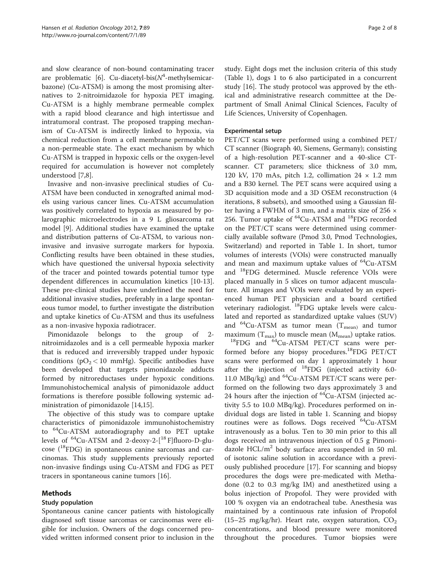and slow clearance of non-bound contaminating tracer are problematic [[6](#page-6-0)]. Cu-diacetyl-bis( $N^4$ -methylsemicarbazone) (Cu-ATSM) is among the most promising alternatives to 2-nitroimidazole for hypoxia PET imaging. Cu-ATSM is a highly membrane permeable complex with a rapid blood clearance and high intertissue and intratumoral contrast. The proposed trapping mechanism of Cu-ATSM is indirectly linked to hypoxia, via chemical reduction from a cell membrane permeable to a non-permeable state. The exact mechanism by which Cu-ATSM is trapped in hypoxic cells or the oxygen-level required for accumulation is however not completely understood [\[7,8](#page-6-0)].

Invasive and non-invasive preclinical studies of Cu-ATSM have been conducted in xenografted animal models using various cancer lines. Cu-ATSM accumulation was positively correlated to hypoxia as measured by polarographic microelectrodes in a 9 L gliosarcoma rat model [[9\]](#page-6-0). Additional studies have examined the uptake and distribution patterns of Cu-ATSM, to various noninvasive and invasive surrogate markers for hypoxia. Conflicting results have been obtained in these studies, which have questioned the universal hypoxia selectivity of the tracer and pointed towards potential tumor type dependent differences in accumulation kinetics [\[10](#page-6-0)[-13](#page-7-0)]. These pre-clinical studies have underlined the need for additional invasive studies, preferably in a large spontaneous tumor model, to further investigate the distribution and uptake kinetics of Cu-ATSM and thus its usefulness as a non-invasive hypoxia radiotracer.

Pimonidazole belongs to the group of 2 nitroimidazoles and is a cell permeable hypoxia marker that is reduced and irreversibly trapped under hypoxic conditions ( $pO<sub>2</sub> < 10$  mmHg). Specific antibodies have been developed that targets pimonidazole adducts formed by nitroreductases under hypoxic conditions. Immunohistochemical analysis of pimonidazole adduct formations is therefore possible following systemic administration of pimonidazole [[14,15](#page-7-0)].

The objective of this study was to compare uptake characteristics of pimonidazole immunohistochemistry to 64Cu-ATSM autoradiography and to PET uptake levels of 64Cu-ATSM and 2-deoxy-2-[18 F]fluoro-D-glu- $\csc$  ( $^{18}$ FDG) in spontaneous canine sarcomas and carcinomas. This study supplements previously reported non-invasive findings using Cu-ATSM and FDG as PET tracers in spontaneous canine tumors [\[16\]](#page-7-0).

# Methods

# Study population

Spontaneous canine cancer patients with histologically diagnosed soft tissue sarcomas or carcinomas were eligible for inclusion. Owners of the dogs concerned provided written informed consent prior to inclusion in the

study. Eight dogs met the inclusion criteria of this study (Table [1\)](#page-2-0), dogs 1 to 6 also participated in a concurrent study [\[16\]](#page-7-0). The study protocol was approved by the ethical and administrative research committee at the Department of Small Animal Clinical Sciences, Faculty of Life Sciences, University of Copenhagen.

# Experimental setup

PET/CT scans were performed using a combined PET/ CT scanner (Biograph 40, Siemens, Germany); consisting of a high-resolution PET-scanner and a 40-slice CTscanner. CT parameters; slice thickness of 3.0 mm, 120 kV, 170 mAs, pitch 1.2, collimation  $24 \times 1.2$  mm and a B30 kernel. The PET scans were acquired using a 3D acquisition mode and a 3D OSEM reconstruction (4 iterations, 8 subsets), and smoothed using a Gaussian filter having a FWHM of 3 mm, and a matrix size of 256  $\times$ 256. Tumor uptake of <sup>64</sup>Cu-ATSM and <sup>18</sup>FDG recorded on the PET/CT scans were determined using commercially available software (Pmod 3.0, Pmod Technologies, Switzerland) and reported in Table [1](#page-2-0). In short, tumor volumes of interests (VOIs) were constructed manually and mean and maximum uptake values of  $^{64}$ Cu-ATSM and 18FDG determined. Muscle reference VOIs were placed manually in 5 slices on tumor adjacent musculature. All images and VOIs were evaluated by an experienced human PET physician and a board certified veterinary radiologist. 18FDG uptake levels were calculated and reported as standardized uptake values (SUV) and <sup>64</sup>Cu-ATSM as tumor mean ( $T_{\text{mean}}$ ) and tumor maximum ( $T_{\text{max}}$ ) to muscle mean ( $M_{\text{mean}}$ ) uptake ratios.  $^{18}$ FDG and  $^{64}$ Cu-ATSM PET/CT scans were performed before any biopsy procedures.18FDG PET/CT scans were performed on day 1 approximately 1 hour after the injection of 18FDG (injected activity 6.0- 11.0  $MBq/kg$ ) and <sup>64</sup>Cu-ATSM PET/CT scans were performed on the following two days approximately 3 and 24 hours after the injection of  ${}^{64}$ Cu-ATSM (injected activity 5.5 to 10.0 MBq/kg). Procedures performed on individual dogs are listed in table [1](#page-2-0). Scanning and biopsy routines were as follows. Dogs received <sup>64</sup>Cu-ATSM intravenously as a bolus. Ten to 30 min prior to this all dogs received an intravenous injection of 0.5 g Pimonidazole  $HCL/m<sup>2</sup>$  body surface area suspended in 50 ml. of isotonic saline solution in accordance with a previously published procedure [\[17](#page-7-0)]. For scanning and biopsy procedures the dogs were pre-medicated with Methadone (0.2 to 0.3 mg/kg IM) and anesthetized using a bolus injection of Propofol. They were provided with 100 % oxygen via an endotracheal tube. Anesthesia was maintained by a continuous rate infusion of Propofol  $(15-25 \text{ mg/kg/hr})$ . Heart rate, oxygen saturation,  $CO<sub>2</sub>$ concentrations, and blood pressure were monitored throughout the procedures. Tumor biopsies were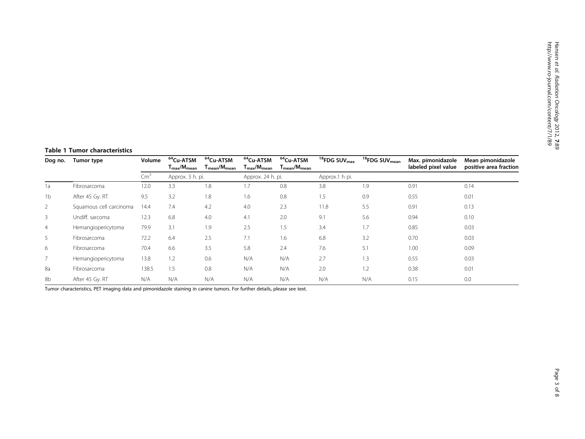# <span id="page-2-0"></span>Table 1 Tumor characteristics

| Dog no.        | Tumor type              | Volume        | <sup>64</sup> Cu-ATSM<br>$T_{\rm max}/M_{\rm mean}$ | <sup>64</sup> Cu-ATSM<br>$T_{mean}/M_{mean}$ | <sup>64</sup> Cu-ATSM<br>$T_{\rm max}/M_{\rm mean}$ | <sup>64</sup> Cu-ATSM<br>$T_{mean}/M_{mean}$ | <sup>18</sup> FDG SUV <sub>max</sub> | <sup>18</sup> FDG SUV <sub>mean</sub> | Max. pimonidazole<br>labeled pixel value | Mean pimonidazole<br>positive area fraction |
|----------------|-------------------------|---------------|-----------------------------------------------------|----------------------------------------------|-----------------------------------------------------|----------------------------------------------|--------------------------------------|---------------------------------------|------------------------------------------|---------------------------------------------|
|                |                         | $\text{Cm}^3$ | Approx. 3 h. pi.                                    |                                              | Approx. 24 h. pi.                                   |                                              | Approx.1 h pi.                       |                                       |                                          |                                             |
| 1a             | Fibrosarcoma            | 12.0          | 3.3                                                 | 1.8                                          | 1.7                                                 | 0.8                                          | 3.8                                  | 1.9                                   | 0.91                                     | 0.14                                        |
| 1 <sub>b</sub> | After 45 Gy. RT         | 9.5           | 3.2                                                 | 1.8                                          | 1.6                                                 | 0.8                                          | 1.5                                  | 0.9                                   | 0.55                                     | 0.01                                        |
| 2              | Squamous cell carcinoma | 14.4          | 7.4                                                 | 4.2                                          | 4.0                                                 | 2.3                                          | 11.8                                 | 5.5                                   | 0.91                                     | 0.13                                        |
| 3              | Undiff, sarcoma         | 12.3          | 6.8                                                 | 4.0                                          | 4.1                                                 | 2.0                                          | 9.1                                  | 5.6                                   | 0.94                                     | 0.10                                        |
| $\overline{4}$ | Hemangiopericytoma      | 79.9          | 3.1                                                 | 1.9                                          | 2.5                                                 | 1.5                                          | 3.4                                  | 1.7                                   | 0.85                                     | 0.03                                        |
| 5              | Fibrosarcoma            | 72.2          | 6.4                                                 | 2.5                                          | 7.1                                                 | 1.6                                          | 6.8                                  | 3.2                                   | 0.70                                     | 0.03                                        |
| 6              | Fibrosarcoma            | 70.4          | 6.6                                                 | 3.5                                          | 5.8                                                 | 2.4                                          | 7.6                                  | 5.1                                   | 1.00                                     | 0.09                                        |
|                | Hemangiopericytoma      | 13.8          | 1.2                                                 | 0.6                                          | N/A                                                 | N/A                                          | 2.7                                  | 1.3                                   | 0.55                                     | 0.03                                        |
| 8a             | Fibrosarcoma            | 138.5         | 1.5                                                 | 0.8                                          | N/A                                                 | N/A                                          | 2.0                                  | 1.2                                   | 0.38                                     | 0.01                                        |
| 8b             | After 45 Gy. RT         | N/A           | N/A                                                 | N/A                                          | N/A                                                 | N/A                                          | N/A                                  | N/A                                   | 0.15                                     | 0.0                                         |

Tumor characteristics, PET imaging data and pimonidazole staining in canine tumors. For further details, please see text.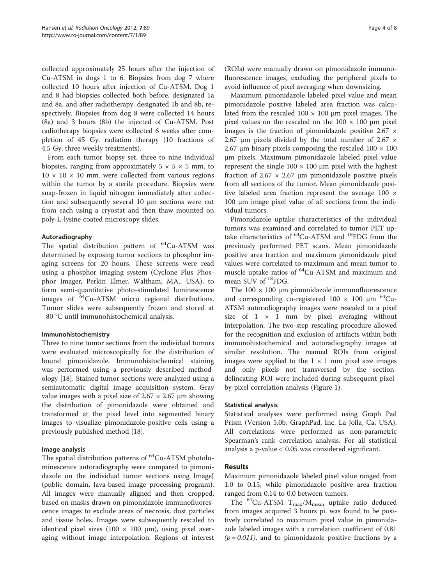collected approximately 25 hours after the injection of Cu-ATSM in dogs 1 to 6. Biopsies from dog 7 where collected 10 hours after injection of Cu-ATSM. Dog 1 and 8 had biopsies collected both before, designated 1a and 8a, and after radiotherapy, designated 1b and 8b, respectively. Biopsies from dog 8 were collected 14 hours (8a) and 3 hours (8b) the injected of Cu-ATSM. Post radiotherapy biopsies were collected 6 weeks after completion of 45 Gy. radiation therapy (10 fractions of 4.5 Gy, three weekly treatments).

From each tumor biopsy set, three to nine individual biopsies, ranging from approximately  $5 \times 5 \times 5$  mm. to  $10 \times 10 \times 10$  mm. were collected from various regions within the tumor by a sterile procedure. Biopsies were snap-frozen in liquid nitrogen immediately after collection and subsequently several 10 μm sections were cut from each using a cryostat and then thaw mounted on poly-L-lysine coated microscopy slides.

# Autoradiography

The spatial distribution pattern of  $^{64}$ Cu-ATSM was determined by exposing tumor sections to phosphor imaging screens for 20 hours. These screens were read using a phosphor imaging system (Cyclone Plus Phosphor Imager, Perkin Elmer, Waltham, MA., USA), to form semi-quantitative photo-stimulated luminescence images of 64Cu-ATSM micro regional distributions. Tumor slides were subsequently frozen and stored at −80 °C until immunohistochemical analysis.

# Immunohistochemistry

Three to nine tumor sections from the individual tumors were evaluated microscopically for the distribution of bound pimonidazole. Immunohistochemical staining was performed using a previously described methodology [[18\]](#page-7-0). Stained tumor sections were analyzed using a semiautomatic digital image acquisition system. Gray value images with a pixel size of  $2.67 \times 2.67$  µm showing the distribution of pimonidazole were obtained and transformed at the pixel level into segmented binary images to visualize pimonidazole-positive cells using a previously published method [\[18\]](#page-7-0).

# Image analysis

The spatial distribution patterns of <sup>64</sup>Cu-ATSM photoluminescence autoradiography were compared to pimonidazole on the individual tumor sections using ImageJ (public domain, Java-based image processing program). All images were manually aligned and then cropped, based on masks drawn on pimonidazole immunofluorescence images to exclude areas of necrosis, dust particles and tissue holes. Images were subsequently rescaled to identical pixel sizes (100  $\times$  100  $\mu$ m), using pixel averaging without image interpolation. Regions of interest

(ROIs) were manually drawn on pimonidazole immunofluorescence images, excluding the peripheral pixels to avoid influence of pixel averaging when downsizing.

Maximum pimonidazole labeled pixel value and mean pimonidazole positive labeled area fraction was calculated from the rescaled  $100 \times 100$  µm pixel images. The pixel values on the rescaled on the  $100 \times 100$  µm pixel images is the fraction of pimonidazole positive  $2.67 \times$ 2.67  $\mu$ m pixels divided by the total number of 2.67  $\times$ 2.67 μm binary pixels composing the rescaled  $100 \times 100$ μm pixels. Maximum pimonidazole labeled pixel value represent the single  $100 \times 100$  μm pixel with the highest fraction of  $2.67 \times 2.67$  µm pimonidazole positive pixels from all sections of the tumor. Mean pimonidazole positive labeled area fraction represent the average 100 × 100 μm image pixel value of all sections from the individual tumors.

Pimonidazole uptake characteristics of the individual tumors was examined and correlated to tumor PET uptake characteristics of <sup>64</sup>Cu-ATSM and <sup>18</sup>FDG from the previously performed PET scans. Mean pimonidazole positive area fraction and maximum pimonidazole pixel values were correlated to maximum and mean tumor to muscle uptake ratios of 64Cu-ATSM and maximum and mean SUV of <sup>18</sup>FDG.

The  $100 \times 100$  µm pimonidazole immunofluorescence and corresponding co-registered  $100 \times 100$  μm <sup>64</sup>Cu-ATSM autoradiography images were rescaled to a pixel size of  $1 \times 1$  mm by pixel averaging without interpolation. The two-step rescaling procedure allowed for the recognition and exclusion of artifacts within both immunohistochemical and autoradiography images at similar resolution. The manual ROIs from original images were applied to the  $1 \times 1$  mm pixel size images and only pixels not transversed by the sectiondelineating ROI were included during subsequent pixelby-pixel correlation analysis (Figure [1\)](#page-4-0).

# Statistical analysis

Statistical analyses were performed using Graph Pad Prism (Version 5.0b, GraphPad, Inc. La Jolla, Ca, USA). All correlations were performed as non-parametric Spearman's rank correlation analysis. For all statistical analysis a p-value  $< 0.05$  was considered significant.

# Results

Maximum pimonidazole labeled pixel value ranged from 1.0 to 0.15, while pimonidazole positive area fraction ranged from 0.14 to 0.0 between tumors.

The  ${}^{64}$ Cu-ATSM T<sub>max</sub>/M<sub>mean</sub> uptake ratio deduced from images acquired 3 hours pi. was found to be positively correlated to maximum pixel value in pimonidazole labeled images with a correlation coefficient of 0.81  $(p = 0.011)$ , and to pimonidazole positive fractions by a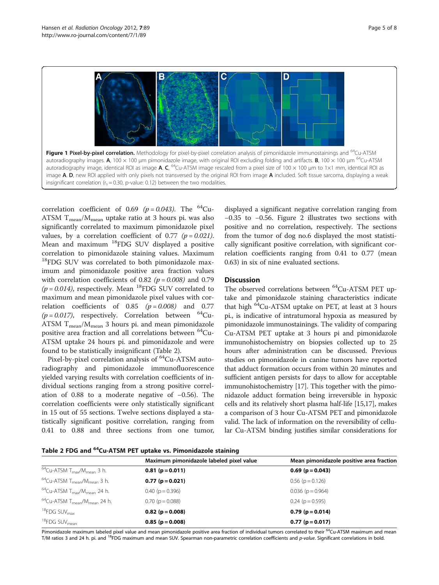<span id="page-4-0"></span>

correlation coefficient of 0.69 ( $p = 0.043$ ). The <sup>64</sup>Cu-ATSM  $T_{mean}/M_{mean}$  uptake ratio at 3 hours pi. was also significantly correlated to maximum pimonidazole pixel values, by a correlation coefficient of 0.77 ( $p = 0.021$ ). Mean and maximum 18FDG SUV displayed a positive correlation to pimonidazole staining values. Maximum <sup>18</sup>FDG SUV was correlated to both pimonidazole maximum and pimonidazole positive area fraction values with correlation coefficients of 0.82 ( $p = 0.008$ ) and 0.79  $(p = 0.014)$ , respectively. Mean <sup>18</sup>FDG SUV correlated to maximum and mean pimonidazole pixel values with correlation coefficients of  $0.85$   $(p = 0.008)$  and 0.77 ( $p = 0.017$ ), respectively. Correlation between <sup>64</sup>Cu-ATSM  $T_{mean}/M_{mean}$  3 hours pi. and mean pimonidazole positive area fraction and all correlations between 64Cu-ATSM uptake 24 hours pi. and pimonidazole and were found to be statistically insignificant (Table 2).

Pixel-by-pixel correlation analysis of <sup>64</sup>Cu-ATSM autoradiography and pimonidazole immunofluorescence yielded varying results with correlation coefficients of individual sections ranging from a strong positive correlation of 0.88 to a moderate negative of −0.56). The correlation coefficients were only statistically significant in 15 out of 55 sections. Twelve sections displayed a statistically significant positive correlation, ranging from 0.41 to 0.88 and three sections from one tumor,

displayed a significant negative correlation ranging from −0.35 to −0.56. Figure [2](#page-5-0) illustrates two sections with positive and no correlation, respectively. The sections from the tumor of dog no.6 displayed the most statistically significant positive correlation, with significant correlation coefficients ranging from 0.41 to 0.77 (mean 0.63) in six of nine evaluated sections.

# **Discussion**

The observed correlations between <sup>64</sup>Cu-ATSM PET uptake and pimonidazole staining characteristics indicate that high  ${}^{64}$ Cu-ATSM uptake on PET, at least at 3 hours pi., is indicative of intratumoral hypoxia as measured by pimonidazole immunostainings. The validity of comparing Cu-ATSM PET uptake at 3 hours pi and pimonidazole immunohistochemistry on biopsies collected up to 25 hours after administration can be discussed. Previous studies on pimonidazole in canine tumors have reported that adduct formation occurs from within 20 minutes and sufficient antigen persists for days to allow for acceptable immunohistochemistry [[17](#page-7-0)]. This together with the pimonidazole adduct formation being irreversible in hypoxic cells and its relatively short plasma half-life [\[15,17](#page-7-0)], makes a comparison of 3 hour Cu-ATSM PET and pimonidazole valid. The lack of information on the reversibility of cellular Cu-ATSM binding justifies similar considerations for

Table 2 FDG and <sup>64</sup>Cu-ATSM PET uptake vs. Pimonidazole staining

|                                                            | Maximum pimonidazole labeled pixel value | Mean pimonidazole positive area fraction |
|------------------------------------------------------------|------------------------------------------|------------------------------------------|
| $^{64}$ Cu-ATSM T <sub>max</sub> /M <sub>mean</sub> 3 h.   | $0.81$ (p = 0.011)                       | $0.69$ (p = 0.043)                       |
| $^{64}$ Cu-ATSM T <sub>mean</sub> /M <sub>mean</sub> 3 h.  | $0.77(p=0.021)$                          | $0.56$ ( $p = 0.126$ )                   |
| $^{64}$ Cu-ATSM T <sub>max</sub> /M <sub>mean</sub> 24 h.  | $0.40$ ( $p = 0.396$ )                   | $0.036$ ( $p = 0.964$ )                  |
| $^{64}$ Cu-ATSM T <sub>mean</sub> /M <sub>mean</sub> 24 h. | $0.70$ ( $p = 0.088$ )                   | $0.24$ ( $p = 0.595$ )                   |
| $18$ FDG SUV $_{\text{max}}$                               | $0.82$ (p = 0.008)                       | $0.79$ (p = 0.014)                       |
| <sup>18</sup> FDG SUV <sub>mean</sub>                      | $0.85(p=0.008)$                          | $0.77(p = 0.017)$                        |

Pimonidazole maximum labeled pixel value and mean pimonidazole positive area fraction of individual tumors correlated to their <sup>64</sup>Cu-ATSM maximum and mean T/M ratios 3 and 24 h. pi. and <sup>18</sup>FDG maximum and mean SUV. Spearman non-parametric correlation coefficients and p-value. Significant correlations in bold.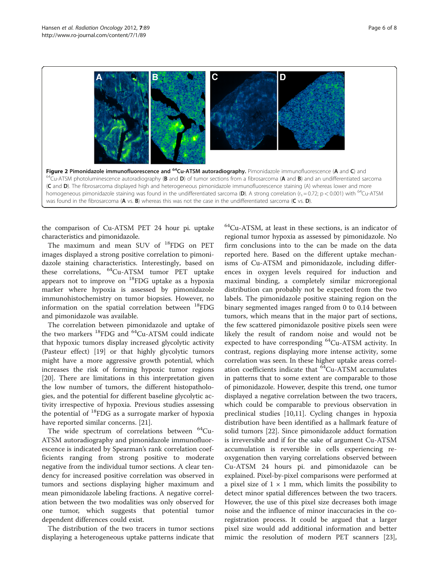<span id="page-5-0"></span>

the comparison of Cu-ATSM PET 24 hour pi. uptake characteristics and pimonidazole.

The maximum and mean SUV of <sup>18</sup>FDG on PET images displayed a strong positive correlation to pimonidazole staining characteristics. Interestingly, based on these correlations, 64Cu-ATSM tumor PET uptake appears not to improve on 18FDG uptake as a hypoxia marker where hypoxia is assessed by pimonidazole immunohistochemistry on tumor biopsies. However, no information on the spatial correlation between  $^{18}$ FDG and pimonidazole was available.

The correlation between pimonidazole and uptake of the two markers  $^{18}$ FDG and  $^{64}$ Cu-ATSM could indicate that hypoxic tumors display increased glycolytic activity (Pasteur effect) [[19](#page-7-0)] or that highly glycolytic tumors might have a more aggressive growth potential, which increases the risk of forming hypoxic tumor regions [[20\]](#page-7-0). There are limitations in this interpretation given the low number of tumors, the different histopathologies, and the potential for different baseline glycolytic activity irrespective of hypoxia. Previous studies assessing the potential of 18FDG as a surrogate marker of hypoxia have reported similar concerns. [\[21](#page-7-0)].

The wide spectrum of correlations between  $^{64}$ Cu-ATSM autoradiography and pimonidazole immunofluorescence is indicated by Spearman's rank correlation coefficients ranging from strong positive to moderate negative from the individual tumor sections. A clear tendency for increased positive correlation was observed in tumors and sections displaying higher maximum and mean pimonidazole labeling fractions. A negative correlation between the two modalities was only observed for one tumor, which suggests that potential tumor dependent differences could exist.

The distribution of the two tracers in tumor sections displaying a heterogeneous uptake patterns indicate that 64Cu-ATSM, at least in these sections, is an indicator of regional tumor hypoxia as assessed by pimonidazole. No firm conclusions into to the can be made on the data reported here. Based on the different uptake mechanisms of Cu-ATSM and pimonidazole, including differences in oxygen levels required for induction and maximal binding, a completely similar microregional distribution can probably not be expected from the two labels. The pimonidazole positive staining region on the binary segmented images ranged from 0 to 0.14 between tumors, which means that in the major part of sections, the few scattered pimonidazole positive pixels seen were likely the result of random noise and would not be expected to have corresponding <sup>64</sup>Cu-ATSM activity. In contrast, regions displaying more intense activity, some correlation was seen. In these higher uptake areas correlation coefficients indicate that <sup>64</sup>Cu-ATSM accumulates in patterns that to some extent are comparable to those of pimonidazole. However, despite this trend, one tumor displayed a negative correlation between the two tracers, which could be comparable to previous observation in preclinical studies [\[10](#page-6-0)[,11](#page-7-0)]. Cycling changes in hypoxia distribution have been identified as a hallmark feature of solid tumors [[22\]](#page-7-0). Since pimonidazole adduct formation is irreversible and if for the sake of argument Cu-ATSM accumulation is reversible in cells experiencing reoxygenation then varying correlations observed between Cu-ATSM 24 hours pi. and pimonidazole can be explained. Pixel-by-pixel comparisons were performed at a pixel size of  $1 \times 1$  mm, which limits the possibility to detect minor spatial differences between the two tracers. However, the use of this pixel size decreases both image noise and the influence of minor inaccuracies in the coregistration process. It could be argued that a larger pixel size would add additional information and better mimic the resolution of modern PET scanners [\[23](#page-7-0)],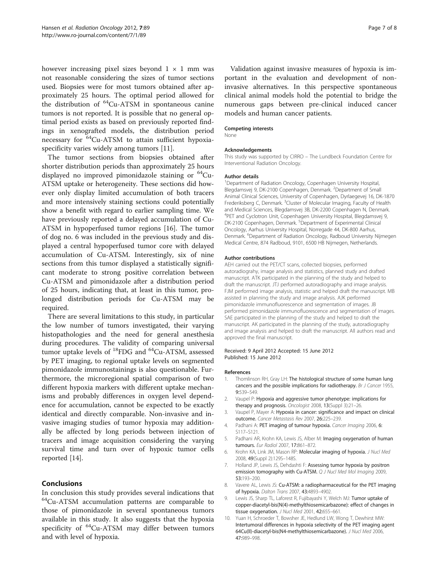<span id="page-6-0"></span>however increasing pixel sizes beyond  $1 \times 1$  mm was not reasonable considering the sizes of tumor sections used. Biopsies were for most tumors obtained after approximately 25 hours. The optimal period allowed for the distribution of <sup>64</sup>Cu-ATSM in spontaneous canine tumors is not reported. It is possible that no general optimal period exists as based on previously reported findings in xenografted models, the distribution period necessary for <sup>64</sup>Cu-ATSM to attain sufficient hypoxiaspecificity varies widely among tumors [\[11](#page-7-0)].

The tumor sections from biopsies obtained after shorter distribution periods than approximately 25 hours displayed no improved pimonidazole staining or <sup>64</sup>Cu-ATSM uptake or heterogeneity. These sections did however only display limited accumulation of both tracers and more intensively staining sections could potentially show a benefit with regard to earlier sampling time. We have previously reported a delayed accumulation of Cu-ATSM in hypoperfused tumor regions [[16](#page-7-0)]. The tumor of dog no. 6 was included in the previous study and displayed a central hypoperfused tumor core with delayed accumulation of Cu-ATSM. Interestingly, six of nine sections from this tumor displayed a statistically significant moderate to strong positive correlation between Cu-ATSM and pimonidazole after a distribution period of 25 hours, indicating that, at least in this tumor, prolonged distribution periods for Cu-ATSM may be required.

There are several limitations to this study, in particular the low number of tumors investigated, their varying histopathologies and the need for general anesthesia during procedures. The validity of comparing universal tumor uptake levels of  $^{18}$ FDG and  $^{64}$ Cu-ATSM, assessed by PET imaging, to regional uptake levels on segmented pimonidazole immunostainings is also questionable. Furthermore, the microregional spatial comparison of two different hypoxia markers with different uptake mechanisms and probably differences in oxygen level dependence for accumulation, cannot be expected to be exactly identical and directly comparable. Non-invasive and invasive imaging studies of tumor hypoxia may additionally be affected by long periods between injection of tracers and image acquisition considering the varying survival time and turn over of hypoxic tumor cells reported [[14](#page-7-0)].

# Conclusions

In conclusion this study provides several indications that  $64$ Cu-ATSM accumulation patterns are comparable to those of pimonidazole in several spontaneous tumors available in this study. It also suggests that the hypoxia specificity of  ${}^{64}$ Cu-ATSM may differ between tumors and with level of hypoxia.

Validation against invasive measures of hypoxia is important in the evaluation and development of noninvasive alternatives. In this perspective spontaneous clinical animal models hold the potential to bridge the numerous gaps between pre-clinical induced cancer models and human cancer patients.

#### Competing interests

None

#### Acknowledgements

This study was supported by CIRRO – The Lundbeck Foundation Centre for Interventional Radiation Oncology.

#### Author details

<sup>1</sup>Department of Radiation Oncology, Copenhagen University Hospital, Blegdamsvej 9, DK-2100 Copenhagen, Denmark. <sup>2</sup>Department of Small Animal Clinical Sciences, University of Copenhagen, Dyrlaegevej 16, DK-1870 Frederiksberg C, Denmark. <sup>3</sup>Cluster of Molecular Imaging, Faculty of Health and Medical Sciences, Blegdamsvej 3B, DK-2200 Copenhagen N, Denmark. 4 PET and Cyclotron Unit, Copenhagen University Hospital, Blegdamsvej 9, DK-2100 Copenhagen, Denmark.<sup>5</sup> Department of Experimental Clinical Oncology, Aarhus University Hospital, Norregade 44, DK-800 Aarhus, Denmark. <sup>6</sup>Department of Radiation Oncology, Radboud University Nijmegen Medical Centre, 874 Radboud, 9101, 6500 HB Nijmegen, Netherlands.

#### Author contributions

AEH carried out the PET/CT scans, collected biopsies, performed autoradiograhy, image analysis and statistics, planned study and drafted manuscript. ATK participated in the planning of the study and helped to draft the manuscript. JTJ performed autoradiography and image analysis. FJM performed image analysis, statistic and helped draft the manuscript. MB assisted in planning the study and image analysis. AJK performed pimonidazole immunofluorescence and segmentation of images. JB performed pimonidazole immunofluorescence and segmentation of images. SAE participated in the planning of the study and helped to draft the manuscript. AK participated in the planning of the study, autoradiography and image analysis and helped to draft the manuscript. All authors read and approved the final manuscript.

#### Received: 9 April 2012 Accepted: 15 June 2012 Published: 15 June 2012

#### References

- 1. Thomlinson RH, Gray LH: The histological structure of some human lung cancers and the possible implications for radiotherapy. Br J Cancer 1955, 9:539–549.
- 2. Vaupel P: Hypoxia and aggressive tumor phenotype: implications for therapy and prognosis. Oncologist 2008, 13(Suppl 3):21–26.
- 3. Vaupel P, Mayer A: Hypoxia in cancer: significance and impact on clinical outcome. Cancer Metastasis Rev 2007, 26:225–239.
- 4. Padhani A: PET imaging of tumour hypoxia. Cancer Imaging 2006, 6: S117–S121.
- 5. Padhani AR, Krohn KA, Lewis JS, Alber M: Imaging oxygenation of human tumours. Eur Radiol 2007, 17:861–872.
- 6. Krohn KA, Link JM, Mason RP: Molecular imaging of hypoxia. J Nucl Med 2008, 49(Suppl 2):129S–148S.
- 7. Holland JP, Lewis JS, Dehdashti F: Assessing tumor hypoxia by positron emission tomography with Cu-ATSM. Q J Nucl Med Mol Imaging 2009, 53:193–200.
- 8. Vavere AL, Lewis JS: Cu-ATSM: a radiopharmaceutical for the PET imaging of hypoxia. Dalton Trans 2007, 43:4893–4902.
- 9. Lewis JS, Sharp TL, Laforest R, Fujibayashi Y, Welch MJ: Tumor uptake of copper-diacetyl-bis(N(4)-methylthiosemicarbazone): effect of changes in tissue oxygenation. J Nucl Med 2001, 42:655-661.
- 10. Yuan H, Schroeder T, Bowsher JE, Hedlund LW, Wong T, Dewhirst MW: Intertumoral differences in hypoxia selectivity of the PET imaging agent 64Cu(II)-diacetyl-bis(N4-methylthiosemicarbazone). J Nucl Med 2006, 47:989–998.